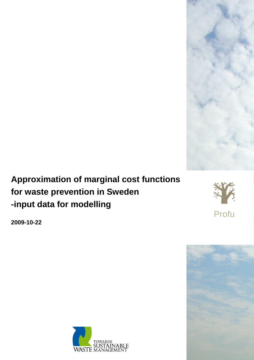

## **Approximation of marginal cost functions for waste prevention in Sweden -input data for modelling**



**2009-10-22**



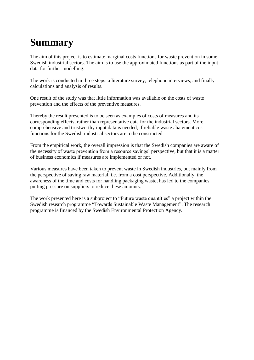# **Summary**

The aim of this project is to estimate marginal costs functions for waste prevention in some Swedish industrial sectors. The aim is to use the approximated functions as part of the input data for further modelling.

The work is conducted in three steps: a literature survey, telephone interviews, and finally calculations and analysis of results.

One result of the study was that little information was available on the costs of waste prevention and the effects of the preventive measures.

Thereby the result presented is to be seen as examples of costs of measures and its corresponding effects, rather than representative data for the industrial sectors. More comprehensive and trustworthy input data is needed, if reliable waste abatement cost functions for the Swedish industrial sectors are to be constructed.

From the empirical work, the overall impression is that the Swedish companies are aware of the necessity of waste prevention from a resource savings' perspective, but that it is a matter of business economics if measures are implemented or not.

Various measures have been taken to prevent waste in Swedish industries, but mainly from the perspective of saving raw material, i.e. from a cost perspective. Additionally, the awareness of the time and costs for handling packaging waste, has led to the companies putting pressure on suppliers to reduce these amounts.

The work presented here is a subproject to "Future waste quantities" a project within the Swedish research programme "Towards Sustainable Waste Management". The research programme is financed by the Swedish Environmental Protection Agency.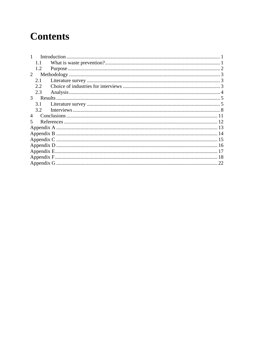## **Contents**

| 1.1 |  |  |
|-----|--|--|
| 1.2 |  |  |
| 2   |  |  |
| 2.1 |  |  |
| 2.2 |  |  |
| 2.3 |  |  |
| 3   |  |  |
| 3.1 |  |  |
| 3.2 |  |  |
| 4   |  |  |
| 5   |  |  |
|     |  |  |
|     |  |  |
|     |  |  |
|     |  |  |
|     |  |  |
|     |  |  |
|     |  |  |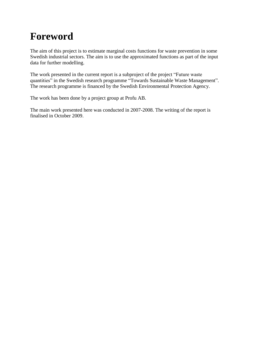## **Foreword**

The aim of this project is to estimate marginal costs functions for waste prevention in some Swedish industrial sectors. The aim is to use the approximated functions as part of the input data for further modelling.

The work presented in the current report is a subproject of the project "Future waste quantities" in the Swedish research programme "Towards Sustainable Waste Management". The research programme is financed by the Swedish Environmental Protection Agency.

The work has been done by a project group at Profu AB.

The main work presented here was conducted in 2007-2008. The writing of the report is finalised in October 2009.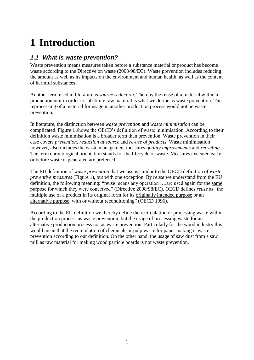# <span id="page-5-0"></span>**1 Introduction**

### <span id="page-5-1"></span>*1.1 What is waste prevention?*

Waste prevention means measures taken before a substance material or product has become waste according to the Directive on waste (2008/98/EC). Waste prevention includes reducing the amount as well as its impacts on the environment and human health, as well as the content of harmful substances

Another term used in literature is *source reduction.* Thereby the reuse of a material within a production unit in order to substitute raw material is what we define as waste prevention. The reprocessing of a material for usage in another production process would not be waste prevention.

In literature, the distinction between *waste prevention* and *waste minimisation* can be complicated. [Figure 1](#page-6-1) shows the OECD's definition of waste minimisation. According to their definition waste minimisation is a broader term than prevention. Waste prevention in their case covers *prevention*, *reduction at source* and *re-use of products*. Waste minimisation however, also includes the waste management measures *quality improvements* and *recycling*. The term chronological orientation stands for the lifecycle of waste. Measures executed early or before waste is generated are preferred.

The EU definition of *waste prevention* that we use is similar to the OECD definition of *waste preventive measures* [\(Figure 1\)](#page-6-1), but with one exception. By *reuse* we understand from the EU definition, the following meaning: **"**reuse means any operation ….are used again for the same purpose for which they were conceived" (Directive 2008/98/EC). OECD defines *reuse* as "the multiple use of a product in its original form for its originally intended purpose or an alternative purpose, with or without reconditioning" (OECD 1996).

According to the EU definition we thereby define the recirculation of processing waste within the production process as waste prevention, but the usage of processing waste for an alternative production process not as waste prevention. Particularly for the wood industry this would mean that the recirculation of chemicals or pulp waste for paper making is waste prevention according to our definition. On the other hand, the usage of saw dust from a saw mill as raw material for making wood particle boards is not waste prevention.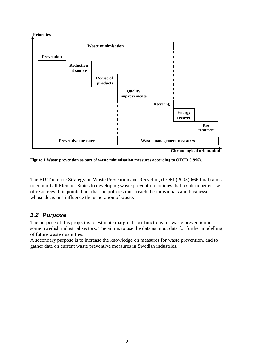

**Chronological orientation**

<span id="page-6-1"></span>**Figure 1 Waste prevention as part of waste minimisation measures according to OECD (1996).** 

The EU Thematic Strategy on Waste Prevention and Recycling (COM (2005) 666 final) aims to commit all Member States to developing waste prevention policies that result in better use of resources. It is pointed out that the policies must reach the individuals and businesses, whose decisions influence the generation of waste.

### <span id="page-6-0"></span>*1.2 Purpose*

**Priorities**

The purpose of this project is to estimate marginal cost functions for waste prevention in some Swedish industrial sectors. The aim is to use the data as input data for further modelling of future waste quantities.

A secondary purpose is to increase the knowledge on measures for waste prevention, and to gather data on current waste preventive measures in Swedish industries.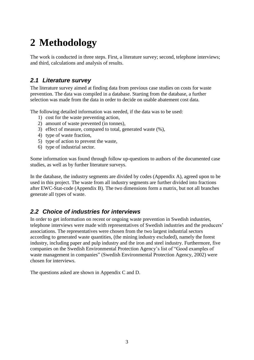# <span id="page-7-0"></span>**2 Methodology**

The work is conducted in three steps. First, a literature survey; second, telephone interviews; and third, calculations and analysis of results.

### <span id="page-7-1"></span>*2.1 Literature survey*

The literature survey aimed at finding data from previous case studies on costs for waste prevention. The data was compiled in a database. Starting from the database, a further selection was made from the data in order to decide on usable abatement cost data.

The following detailed information was needed, if the data was to be used:

- 1) cost for the waste preventing action,
- 2) amount of waste prevented (in tonnes),
- 3) effect of measure, compared to total, generated waste (%),
- 4) type of waste fraction,
- 5) type of action to prevent the waste,
- 6) type of industrial sector.

Some information was found through follow up-questions to authors of the documented case studies, as well as by further literature surveys.

In the database, the industry segments are divided by codes (Appendix A), agreed upon to be used in this project. The waste from all industry segments are further divided into fractions after EWC-Stat-code (Appendix B). The two dimensions form a matrix, but not all branches generate all types of waste.

### <span id="page-7-2"></span>*2.2 Choice of industries for interviews*

In order to get information on recent or ongoing waste prevention in Swedish industries, telephone interviews were made with representatives of Swedish industries and the producers' associations. The representatives were chosen from the two largest industrial sectors according to generated waste quantities, (the mining industry excluded), namely the forest industry, including paper and pulp industry and the iron and steel industry. Furthermore, five companies on the Swedish Environmental Protection Agency's list of "Good examples of waste management in companies" (Swedish Environmental Protection Agency, 2002) were chosen for interviews.

The questions asked are shown in Appendix C and D.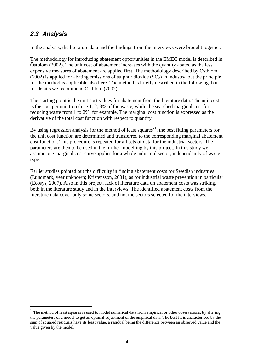### <span id="page-8-0"></span>*2.3 Analysis*

 $\overline{a}$ 

In the analysis, the literature data and the findings from the interviews were brought together.

The methodology for introducing abatement opportunities in the EMEC model is described in Östblom (2002). The unit cost of abatement increases with the quantity abated as the less expensive measures of abatement are applied first. The methodology described by Östblom (2002) is applied for abating emissions of sulphur dioxide  $(SO<sub>2</sub>)$  in industry, but the principle for the method is applicable also here. The method is briefly described in the following, but for details we recommend Östblom (2002).

The starting point is the unit cost values for abatement from the literature data. The unit cost is the cost per unit to reduce 1, 2, 3% of the waste, while the searched marginal cost for reducing waste from 1 to 2%, for example. The marginal cost function is expressed as the derivative of the total cost function with respect to quantity.

By using regression analysis (or the method of least squares)<sup>1</sup>, the best fitting parameters for the unit cost function are determined and transferred to the corresponding marginal abatement cost function. This procedure is repeated for all sets of data for the industrial sectors. The parameters are then to be used in the further modelling by this project. In this study we assume one marginal cost curve applies for a whole industrial sector, independently of waste type.

Earlier studies pointed out the difficulty in finding abatement costs for Swedish industries (Lundmark, year unknown; Kristensson, 2001), as for industrial waste prevention in particular (Ecosys, 2007). Also in this project, lack of literature data on abatement costs was striking, both in the literature study and in the interviews. The identified abatement costs from the literature data cover only some sectors, and not the sectors selected for the interviews.

<sup>1</sup> The method of least squares is used to model numerical data from empirical or other observations, by altering the parameters of a model to get an optimal adjustment of the empirical data. The best fit is characterised by the sum of squared residuals have its least value, a residual being the difference between an observed value and the value given by the model.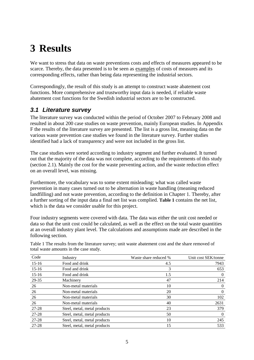## <span id="page-9-0"></span>**3 Results**

We want to stress that data on waste preventions costs and effects of measures appeared to be scarce. Thereby, the data presented is to be seen as examples of costs of measures and its corresponding effects, rather than being data representing the industrial sectors.

Correspondingly, the result of this study is an attempt to construct waste abatement cost functions. More comprehensive and trustworthy input data is needed, if reliable waste abatement cost functions for the Swedish industrial sectors are to be constructed.

### <span id="page-9-1"></span>*3.1 Literature survey*

The literature survey was conducted within the period of October 2007 to February 2008 and resulted in about 200 case studies on waste prevention, mainly European studies. In Appendix F the results of the literature survey are presented. The list is a gross list, meaning data on the various waste prevention case studies we found in the literature survey. Further studies identified had a lack of transparency and were not included in the gross list.

The case studies were sorted according to industry segment and further evaluated. It turned out that the majority of the data was not complete, according to the requirements of this study (section 2.1). Mainly the cost for the waste preventing action, and the waste reduction effect on an overall level, was missing.

Furthermore, the vocabulary was to some extent misleading; what was called waste prevention in many cases turned out to be alternation in waste handling (meaning reduced landfilling) and not waste prevention, according to the definition in Chapter 1. Thereby, after a further sorting of the input data a final net list was complied. **[Table 1](#page-9-2)** contains the net list, which is the data we consider usable for this project.

Four industry segments were covered with data. The data was either the unit cost needed or data so that the unit cost could be calculated, as well as the effect on the total waste quantities at an overall industry plant level. The calculations and assumptions made are described in the following section.

| Code      | Industry                     | Waste share reduced % | Unit cost SEK/tonne |
|-----------|------------------------------|-----------------------|---------------------|
| $15-16$   | Food and drink               | 4.5                   | 7943                |
| $15-16$   | Food and drink               | 3                     | 653                 |
| $15-16$   | Food and drink               | 1.5                   | $\theta$            |
| 29-35     | Machinery                    | 47                    | 214                 |
| 26        | Non-metal materials          | 10                    | $\boldsymbol{0}$    |
| 26        | Non-metal materials          | 20                    | $\theta$            |
| 26        | Non-metal materials          | 30                    | 102                 |
| 26        | Non-metal materials          | 40                    | 2631                |
| 27-28     | Steel, metal, metal products | 23                    | 379                 |
| 27-28     | Steel, metal, metal products | 50                    | $\theta$            |
| $27 - 28$ | Steel, metal, metal products | 10                    | 245                 |
| 27-28     | Steel, metal, metal products | 15                    | 533                 |

<span id="page-9-2"></span>Table 1 The results from the literature survey; unit waste abatement cost and the share removed of total waste amounts in the case study.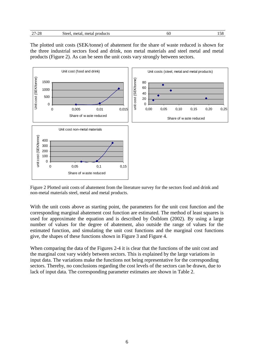| $\sim$<br>ഹ<br>. .<br>້<br>- 1 | metal<br>metai<br>steel | products | ov<br>-<br>$\sim$ $\sim$ $\sim$ |
|--------------------------------|-------------------------|----------|---------------------------------|
|                                |                         |          |                                 |

The plotted unit costs (SEK/tonne) of abatement for the share of waste reduced is shown for the three industrial sectors food and drink, non metal materials and steel metal and metal products [\(Figure 2\)](#page-10-0). As can be seen the unit costs vary strongly between sectors.



<span id="page-10-0"></span>Figure 2 Plotted unit costs of abatement from the literature survey for the sectors food and drink and non-metal materials steel, metal and metal products.

With the unit costs above as starting point, the parameters for the unit cost function and the corresponding marginal abatement cost function are estimated. The method of least squares is used for approximate the equation and is described by Östblom (2002). By using a large number of values for the degree of abatement, also outside the range of values for the estimated function, and simulating the unit cost functions and the marginal cost functions give, the shapes of these functions shown in [Figure 3](#page-11-0) and [Figure 4.](#page-11-1)

When comparing the data of the Figures 2-4 it is clear that the functions of the unit cost and the marginal cost vary widely between sectors. This is explained by the large variations in input data. The variations make the functions not being representative for the corresponding sectors. Thereby, no conclusions regarding the cost levels of the sectors can be drawn, due to lack of input data. The corresponding parameter estimates are shown in [Table 2.](#page-12-1)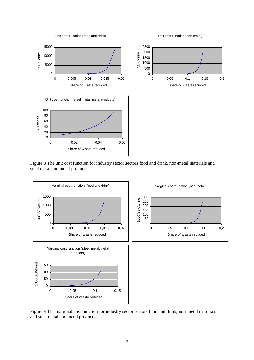

<span id="page-11-0"></span>Figure 3 The unit cost function for industry sector sectors food and drink, non-metal materials and steel metal and metal products.



<span id="page-11-1"></span>Figure 4 The marginal cost function for industry sector sectors food and drink, non-metal materials and steel metal and metal products.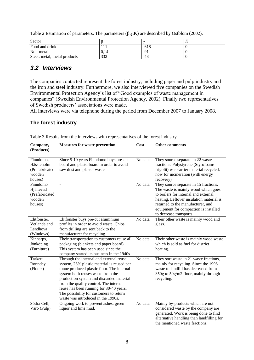<span id="page-12-1"></span>

| Table 2 Estimation of parameters. The parameters $(\beta, \gamma, K)$ are described by Östblom (2002). |  |  |
|--------------------------------------------------------------------------------------------------------|--|--|
|                                                                                                        |  |  |
|                                                                                                        |  |  |

| Sector                       |       |        | $\bf{v}$ |
|------------------------------|-------|--------|----------|
| Food and drink               | 1 1 1 | $-618$ |          |
| Non-metal                    | 0.14  | -91    |          |
| Steel, metal, metal products | 332   | -48    |          |

### <span id="page-12-0"></span>*3.2 Interviews*

The companies contacted represent the forest industry, including paper and pulp industry and the iron and steel industry. Furthermore, we also interviewed five companies on the Swedish Environmental Protection Agency's list of "Good examples of waste management in companies" (Swedish Environmental Protection Agency, 2002). Finally two representatives of Swedish producers' associations were made.

All interviews were via telephone during the period from December 2007 to January 2008.

#### **The forest industry**

| Company,<br>(Products)                                         | <b>Measures for waste prevention</b>                                                                                                                                                                                                                                                                                                                                                       | Cost    | <b>Other comments</b>                                                                                                                                                                                                                                                     |
|----------------------------------------------------------------|--------------------------------------------------------------------------------------------------------------------------------------------------------------------------------------------------------------------------------------------------------------------------------------------------------------------------------------------------------------------------------------------|---------|---------------------------------------------------------------------------------------------------------------------------------------------------------------------------------------------------------------------------------------------------------------------------|
| Finndomo,<br>Hässleholm<br>(Prefabricated<br>wooden<br>houses) | Since 5-10 years Finndomo buys pre-cut<br>board and plasterboard in order to avoid<br>saw dust and plaster waste.                                                                                                                                                                                                                                                                          | No data | They source separate in 22 waste<br>fractions. Polystyrene (Styrofoam/<br>frigolit) was earlier material recycled,<br>now for incineration (with energy<br>recovery)                                                                                                      |
| Finndomo<br>Hjältevad<br>(Prefabricated<br>wooden<br>houses)   | $\Box$                                                                                                                                                                                                                                                                                                                                                                                     | No data | They source separate in 15 fractions.<br>The waste is mainly wood which goes<br>to boilers for internal and external<br>heating. Leftover insulation material is<br>returned to the manufacturer, and<br>equipment for compaction is installed<br>to decrease transports. |
| Elitfönster,<br>Vetlanda and<br>Lendhova<br>(Windows)          | Elitfönster buys pre-cut aluminium<br>profiles in order to avoid waste. Chips<br>from drilling are sent back to the<br>manufacturer for recycling.                                                                                                                                                                                                                                         | No data | Their other waste is mainly wood and<br>glass.                                                                                                                                                                                                                            |
| Kinnarps,<br>Jönköping<br>(Furniture)                          | Their transportation to customers reuse all<br>packaging (blankets and paper board).<br>This system has been used since the<br>company started its business in the 1940s.                                                                                                                                                                                                                  | No data | Their other waste is mainly wood waste<br>which is sold as fuel for district<br>heating.                                                                                                                                                                                  |
| Tarkett,<br>Ronneby<br>(Floors)                                | Through the internal and external reuse<br>system, 23% plastic material is reused per<br>tonne produced plastic floor. The internal<br>system both reuses waste from the<br>production system and discarded material<br>from the quality control. The internal<br>reuse has been running for 30-40 years.<br>The possibility for customers to return<br>waste was introduced in the 1990s. | No data | They sort waste in 21 waste fractions,<br>mainly for recycling. Since the 1996<br>waste to landfill has decreased from<br>350g to 50g/m2 floor, mainly through<br>recycling.                                                                                              |
| Södra Cell,<br>Värö (Pulp)                                     | Ongoing work to prevent ashes, green<br>liquor and lime mud.                                                                                                                                                                                                                                                                                                                               | No data | Mainly by-products which are not<br>considered waste by the company are<br>generated. Work is being done to find<br>alternative handling than landfilling for<br>the mentioned waste fractions.                                                                           |

Table 3 Results from the interviews with representatives of the forest industry.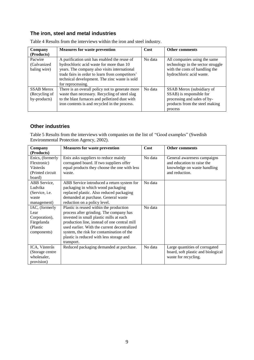#### **The iron, steel and metal industries**

| Company<br>(Products)                              | <b>Measures for waste prevention</b>                                                                                                                                                                                                                              | Cost    | <b>Other comments</b>                                                                                                             |
|----------------------------------------------------|-------------------------------------------------------------------------------------------------------------------------------------------------------------------------------------------------------------------------------------------------------------------|---------|-----------------------------------------------------------------------------------------------------------------------------------|
| Pacwire<br>(Galvanized)<br>baling wire)            | A purification unit has enabled the reuse of<br>hydrochloric acid waste for more than 10<br>years. The company also visits international<br>trade fairs in order to learn from competitors'<br>technical development. The zinc waste is sold<br>for reprocessing. | No data | All companies using the same<br>technology in the sector struggle<br>with the costs of handling the<br>hydrochloric acid waste.   |
| <b>SSAB</b> Merox<br>(Recycling of<br>by-products) | There is an overall policy not to generate more<br>waste than necessary. Recycling of steel slag<br>to the blast furnaces and pelletized dust with<br>iron contents is and recycled in the process.                                                               | No data | SSAB Merox (subsidiary of<br>SSAB) is responsible for<br>processing and sales of by-<br>products from the steel making<br>process |

Table 4 Results from the interviews within the iron and steel industry.

#### **Other industries**

Table 5 Results from the interviews with companies on the list of "Good examples" (Swedish Environmental Protection Agency, 2002).

| Company           | <b>Measures for waste prevention</b>         | Cost    | <b>Other comments</b>              |
|-------------------|----------------------------------------------|---------|------------------------------------|
| (Products)        |                                              |         |                                    |
| Enics, (formerly  | Enix asks suppliers to reduce mainly         | No data | General awareness campaigns        |
| Flextronic)       | corrugated board. If two suppliers offer     |         | and education to raise the         |
| Västerås          | equal products they choose the one with less |         | knowledge on waste handling        |
| (Printed circuit) | waste.                                       |         | and reduction.                     |
| board)            |                                              |         |                                    |
| ABB Service,      | ABB Service introduced a return system for   | No data |                                    |
| Ludvika           | packaging in which wood packaging            |         |                                    |
| (Service, i.e.    | replaced plastic. Also reduced packaging     |         |                                    |
| waste             | demanded at purchase. General waste          |         |                                    |
| management)       | reduction on a policy level.                 |         |                                    |
| IAC, (formerly    | Plastic is reused within the production      | No data |                                    |
| Lear              | process after grinding. The company has      |         |                                    |
| Corporation),     | invested in small plastic mills at each      |         |                                    |
| Färgelanda        | production line, instead of one central mill |         |                                    |
| (Plastic          | used earlier. With the current decentralized |         |                                    |
| components)       | system, the risk for contamination of the    |         |                                    |
|                   | plastic is reduced with less storage and     |         |                                    |
|                   | transport.                                   |         |                                    |
| ICA, Västerås     | Reduced packaging demanded at purchase.      | No data | Large quantities of corrugated     |
| (Storage centre   |                                              |         | board, soft plastic and biological |
| wholesaler,       |                                              |         | waste for recycling.               |
| provision)        |                                              |         |                                    |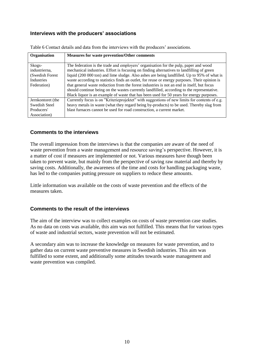#### **Interviews with the producers' associations**

| Organisation            | <b>Measures for waste prevention/Other comments</b>                                                                                                                               |
|-------------------------|-----------------------------------------------------------------------------------------------------------------------------------------------------------------------------------|
|                         |                                                                                                                                                                                   |
| Skogs-<br>industrierna, | The federation is the trade and employers' organisation for the pulp, paper and wood<br>mechanical industries. Effort is focusing on finding alternatives to landfilling of green |
| (Swedish Forest         | liquid (200 000 ton) and lime sludge. Also ashes are being landfilled. Up to 95% of what is                                                                                       |
| <b>Industries</b>       | waste according to statistics finds an outlet, for reuse or energy purposes. Their opinion is                                                                                     |
| Federation)             | that general waste reduction from the forest industries is not an end in itself, but focus                                                                                        |
|                         | should continue being on the wastes currently landfilled, according to the representative.                                                                                        |
|                         | Black liquor is an example of waste that has been used for 50 years for energy purposes.                                                                                          |
| Jernkontoret (the       | Currently focus is on "Kriterieprojektet" with suggestions of new limits for contents of e.g.                                                                                     |
| Swedish Steel           | heavy metals in waste (what they regard being by-products) to be used. Thereby slag from                                                                                          |
| Producers'              | blast furnaces cannot be used for road construction, a current market.                                                                                                            |
| Association)            |                                                                                                                                                                                   |

Table 6 Contact details and data from the interviews with the producers' associations.

#### **Comments to the interviews**

The overall impression from the interviews is that the companies are aware of the need of waste prevention from a waste management and resource saving's perspective. However, it is a matter of cost if measures are implemented or not. Various measures have though been taken to prevent waste, but mainly from the perspective of saving raw material and thereby by saving costs. Additionally, the awareness of the time and costs for handling packaging waste, has led to the companies putting pressure on suppliers to reduce these amounts.

Little information was available on the costs of waste prevention and the effects of the measures taken.

#### **Comments to the result of the interviews**

The aim of the interview was to collect examples on costs of waste prevention case studies. As no data on costs was available, this aim was not fulfilled. This means that for various types of waste and industrial sectors, waste prevention will not be estimated.

A secondary aim was to increase the knowledge on measures for waste prevention, and to gather data on current waste preventive measures in Swedish industries. This aim was fulfilled to some extent, and additionally some attitudes towards waste management and waste prevention was compiled.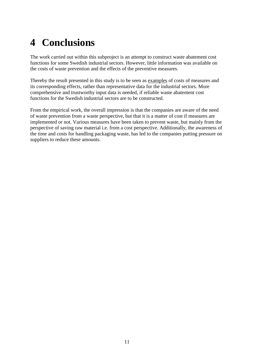# <span id="page-15-0"></span>**4 Conclusions**

The work carried out within this subproject is an attempt to construct waste abatement cost functions for some Swedish industrial sectors. However, little information was available on the costs of waste prevention and the effects of the preventive measures.

Thereby the result presented in this study is to be seen as examples of costs of measures and its corresponding effects, rather than representative data for the industrial sectors. More comprehensive and trustworthy input data is needed, if reliable waste abatement cost functions for the Swedish industrial sectors are to be constructed.

From the empirical work, the overall impression is that the companies are aware of the need of waste prevention from a waste perspective, but that it is a matter of cost if measures are implemented or not. Various measures have been taken to prevent waste, but mainly from the perspective of saving raw material i.e. from a cost perspective. Additionally, the awareness of the time and costs for handling packaging waste, has led to the companies putting pressure on suppliers to reduce these amounts.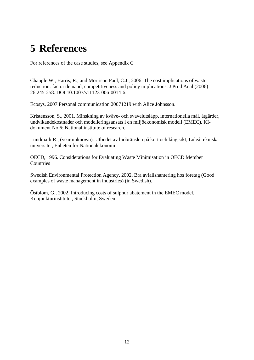## <span id="page-16-0"></span>**5 References**

For references of the case studies, see Appendix G

Chapple W., Harris, R., and Morrison Paul, C.J., 2006. The cost implications of waste reduction: factor demand, competitiveness and policy implications. J Prod Anal (2006) 26:245-258. DOI 10.1007/s11123-006-0014-6.

Ecosys, 2007 Personal communication 20071219 with Alice Johnsson.

Kristensson, S., 2001. Minskning av kväve- och svavelutsläpp, internationella mål, åtgärder, undvikandekostnader och modelleringsansats i en miljöekonomisk modell (EMEC), KIdokument No 6; National institute of research.

Lundmark R., (year unknown). Utbudet av biobränslen på kort och lång sikt, Luleå tekniska universitet, Enheten för Nationalekonomi.

OECD, 1996. Considerations for Evaluating Waste Minimisation in OECD Member **Countries** 

Swedish Environmental Protection Agency, 2002. Bra avfallshantering hos företag (Good examples of waste management in industries) (in Swedish).

Östblom, G., 2002. Introducing costs of sulphur abatement in the EMEC model, Konjunkturinstitutet, Stockholm, Sweden.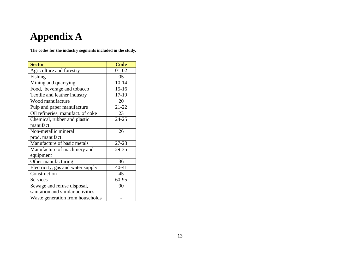# **Appendix A**

**The codes for the industry segments included in the study.** 

<span id="page-17-0"></span>

| <b>Sector</b>                     | <b>Code</b> |
|-----------------------------------|-------------|
| Agriculture and forestry          | $01 - 02$   |
| Fishing                           | 05          |
| Mining and quarrying              | $10 - 14$   |
| Food, beverage and tobacco        | $15 - 16$   |
| Textile and leather industry      | 17-19       |
| Wood manufacture                  | 20          |
| Pulp and paper manufacture        | $21 - 22$   |
| Oil refineries, manufact. of coke | 23          |
| Chemical, rubber and plastic      | 24-25       |
| manufact.                         |             |
| Non-metallic mineral              | 26          |
| prod. manufact.                   |             |
| Manufacture of basic metals       | 27-28       |
| Manufacture of machinery and      | 29-35       |
| equipment                         |             |
| Other manufacturing               | 36          |
| Electricity, gas and water supply | 40-41       |
| Construction                      | 45          |
| Services                          | 60-95       |
| Sewage and refuse disposal,       | 90          |
| sanitation and similar activities |             |
| Waste generation from households  |             |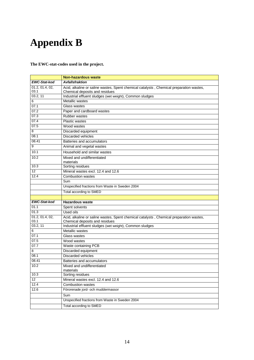## <span id="page-18-0"></span>**Appendix B**

**The EWC-stat-codes used in the project.** 

|                     | <b>Non-hazardous waste</b>                                                              |
|---------------------|-----------------------------------------------------------------------------------------|
| <b>EWC-Stat-kod</b> | <b>Avfallsfraktion</b>                                                                  |
| 01.2, 01.4, 02,     | Acid, alkaline or saline wastes, Spent chemical catalysts, Chemical preparation wastes, |
| 03.1                | Chemical deposits and residues                                                          |
| 03.2.11             | Industrial effluent sludges (wet weight), Common sludges                                |
| 6                   | Metallic wastes                                                                         |
| 07.1                | Glass wastes                                                                            |
| 07.2                | Paper and cardboard wastes                                                              |
| 07.3                | Rubber wastes                                                                           |
| 07.4                | <b>Plastic wastes</b>                                                                   |
| 07.5                | Wood wastes                                                                             |
| 8                   | Discarded equipment                                                                     |
| 08.1                | Discarded vehicles                                                                      |
| 08.41               | Batteries and accumulators                                                              |
| 9                   | Animal and vegetal wastes                                                               |
| 10.1                | Household and similar wastes                                                            |
| 10.2                | Mixed and undifferentiated                                                              |
| 10.3                | materials<br>Sorting residues                                                           |
| $\overline{12}$     | Mineral wastes excl. 12.4 and 12.6                                                      |
| 12.4                | <b>Combustion wastes</b>                                                                |
|                     | Sum                                                                                     |
|                     | Unspecified fractions from Waste in Sweden 2004                                         |
|                     |                                                                                         |
|                     | Total according to SMED                                                                 |
| <b>EWC-Stat-kod</b> | <b>Hazardous waste</b>                                                                  |
| 01.1                | Spent solvents                                                                          |
| 01.3                | Used oils                                                                               |
| 01.2, 01.4, 02,     | Acid, alkaline or saline wastes, Spent chemical catalysts, Chemical preparation wastes, |
| 03.1                | Chemical deposits and residues                                                          |
| 03.2, 11            | Industrial effluent sludges (wet weight), Common sludges                                |
| 6                   | Metallic wastes                                                                         |
| 07.1                | Glass wastes                                                                            |
| 07.5                | Wood wastes                                                                             |
| 07.7                | Waste containing PCB                                                                    |
| 8                   | Discarded equipment                                                                     |
| 08.1                | Discarded vehicles                                                                      |
| 08.41               | Batteries and accumulators                                                              |
| 10.2                | Mixed and undifferentiated                                                              |
|                     | materials                                                                               |
| 10.3                | Sorting residues                                                                        |
| 12                  | Mineral wastes excl. 12.4 and 12.6                                                      |
| 12.4                | <b>Combustion wastes</b>                                                                |
| 12.6                | Förorenade jord- och muddermassor                                                       |
|                     | Sum                                                                                     |
|                     | Unspecified fractions from Waste in Sweden 2004                                         |
|                     | Total according to SMED                                                                 |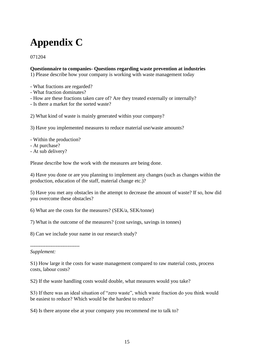# <span id="page-19-0"></span>**Appendix C**

071204

#### **Questionnaire to companies- Questions regarding waste prevention at industries**

1) Please describe how your company is working with waste management today

- What fractions are regarded?
- What fraction dominates?
- How are these fractions taken care of? Are they treated externally or internally?
- Is there a market for the sorted waste?

2) What kind of waste is mainly generated within your company?

3) Have you implemented measures to reduce material use/waste amounts?

- Within the production?
- At purchase?
- At sub delivery?

Please describe how the work with the measures are being done.

4) Have you done or are you planning to implement any changes (such as changes within the production, education of the staff, material change etc.)?

5) Have you met any obstacles in the attempt to decrease the amount of waste? If so, how did you overcome these obstacles?

6) What are the costs for the measures? (SEK/a, SEK/tonne)

7) What is the outcome of the measures? (cost savings, savings in tonnes)

8) Can we include your name in our research study?

*Supplement:* 

-----------------------------

S1) How large it the costs for waste management compared to raw material costs, process costs, labour costs?

S2) If the waste handling costs would double, what measures would you take?

S3) If there was an ideal situation of "zero waste", which waste fraction do you think would be easiest to reduce? Which would be the hardest to reduce?

S4) Is there anyone else at your company you recommend me to talk to?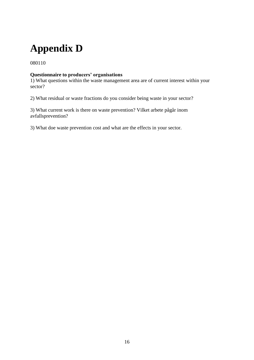# <span id="page-20-0"></span>**Appendix D**

080110

#### **Questionnaire to producers' organisations**

1) What questions within the waste management area are of current interest within your sector?

2) What residual or waste fractions do you consider being waste in your sector?

3) What current work is there on waste prevention? Vilket arbete pågår inom avfallsprevention?

3) What doe waste prevention cost and what are the effects in your sector.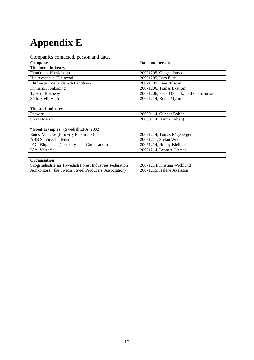# <span id="page-21-0"></span>**Appendix E**

Companies contacted, person and date.

| Date and person                        |
|----------------------------------------|
|                                        |
| 20071205, Greger Jonsson               |
| 20071205, Lars Ekdal                   |
| 20071205, Line Nilsson                 |
| 20071206, Tomas Ekström                |
| 20071206, Peter Okmark, Leif Göthammar |
| 20071214, Roine Myrin                  |
|                                        |
|                                        |
| 20080114, Gunnar Bohlin                |
| 20080114, Hanna Friberg                |
|                                        |
|                                        |
| 20071214, Tomas Rågeberger             |
| 20071217, Stefan Wik                   |
| 20071214, Jimmy Kleibrant              |
| 20071214, Lennart Östman               |
|                                        |
|                                        |
| 20071214, Kristina Wicklund            |
| 20071215, Hélène Axelsson              |
|                                        |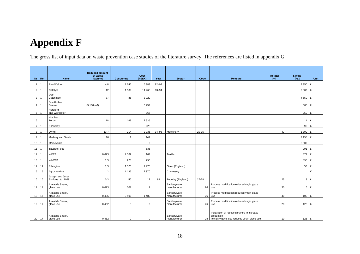## **Appendix F**

The gross list of input data on waste prevention case studies of the literature survey. The references are listed in appendix G

<span id="page-22-0"></span>

|                |                         |                                        | <b>Reduced amount</b> |                   |                |        |                              |       |                                                                                                                 |                    |                                 |             |
|----------------|-------------------------|----------------------------------------|-----------------------|-------------------|----------------|--------|------------------------------|-------|-----------------------------------------------------------------------------------------------------------------|--------------------|---------------------------------|-------------|
|                | $Nr$ Ref                | Name                                   | of waste<br>[ktonne]  | <b>Cost/tonne</b> | Cost<br>[kSEK] | Year   | <b>Sector</b>                | Code  | <b>Measure</b>                                                                                                  | Of total<br>$[\%]$ | Saving<br>[kE]                  | <b>Unit</b> |
|                |                         |                                        |                       |                   |                |        |                              |       |                                                                                                                 |                    |                                 |             |
| $\mathbf{1}$   |                         | Aire&Calder                            | 4,8                   | 1 2 4 6           | 5983           | 92-'93 |                              |       |                                                                                                                 |                    | 3 3 5 0                         | £           |
| $\overline{2}$ |                         | Catalyst                               | 12                    | 1 1 8 9           | 14 2 65        | 93-'94 |                              |       |                                                                                                                 |                    | 2 300 £                         |             |
| 3              |                         | Dee<br>Catchment                       | 87                    | 35                | 3 0 2 0        |        |                              |       |                                                                                                                 |                    | $4550$ £                        |             |
| $\overline{a}$ | $\overline{\mathbf{1}}$ | Don Rother<br>Dearne                   | (5100 m3)             |                   | 3 2 5 9        |        |                              |       |                                                                                                                 |                    | 565 £                           |             |
| 5              | $\overline{1}$          | Hereford<br>and Worcester              |                       |                   | 367            |        |                              |       |                                                                                                                 |                    | 250 £                           |             |
| 6              |                         | Humber<br>Forum                        | 18                    | 163               | 2935           |        |                              |       |                                                                                                                 |                    |                                 | $1$ E       |
| $\overline{7}$ | l 1                     | Knowsley                               |                       |                   | 226            |        |                              |       |                                                                                                                 |                    | 95 £                            |             |
| 8              |                         | LWMI                                   | 13,7                  | 214               | 2935           | 94-'95 | Machinery                    | 29-35 |                                                                                                                 | 47                 | 1 300 £                         |             |
| 9              |                         | Medway and Swale                       | 116                   | $\overline{1}$    | 141            |        |                              |       |                                                                                                                 |                    | $2155$ £                        |             |
| 10             |                         | Merseyside                             |                       |                   | $\mathbf 0$    |        |                              |       |                                                                                                                 |                    | 5 3 0 0                         |             |
| 11             |                         | <b>Tayside Food</b>                    |                       |                   | 536            |        |                              |       |                                                                                                                 |                    | 291 £                           |             |
| 12             |                         | <b>WEFT</b>                            | 0,023                 | 7 3 6 2           | 169            |        | Textile                      |       |                                                                                                                 |                    | 371 £                           |             |
| 13             |                         | <b>WMWM</b>                            | 1,3                   | 228               | 296            |        |                              |       |                                                                                                                 |                    | 895 £                           |             |
|                | 14 14                   | Pilkington                             | 1,3                   | 1 5 2 0           | 1975           |        | Glass (England)              |       |                                                                                                                 |                    | 53 £                            |             |
| 15             | 15                      | Agrochemical                           | 2                     | 1 1 8 5           | 2 3 7 0        |        | Chemestry                    |       |                                                                                                                 |                    |                                 | €           |
| 16             | 16                      | Joseph and Jesse<br>Siddons Ltd. 1999. | 0,3                   | 56                | 17             | 99     | Foundry (England)            | 27-28 |                                                                                                                 | 23                 |                                 | $8$ $E$     |
| 17 17          |                         | Armatide Shank,<br>glace use           | 0,023                 | 307               | $\overline{7}$ |        | Sanitaryware<br>manufacturer | 26    | Process modification reduced virgin glace<br>use                                                                | 30                 |                                 | $6$ $E$     |
| 18             | 17                      | Armatide Shank,<br>glace use           | 0,435                 | 3 4 0 6           | 1482           |        | Sanitaryware<br>manufacturer | 26    | Process modification reduced virgin glace<br>use                                                                | 40                 | $102 \text{ } \text{ } \pounds$ |             |
|                | 19 17                   | Armatide Shank,<br>glace use           | 0,462                 | $\mathbf 0$       | $\mathbf 0$    |        | Sanitaryware<br>manufacturer | 26    | Process modification reduced virgin glace<br>use                                                                | 20                 | $126$ £                         |             |
|                | 20 17                   | Armatide Shank,<br>glace use           | 0,462                 | $\mathbf{0}$      | $\mathbf 0$    |        | Sanitaryware<br>manufacturer |       | Installation of robotic sprayers to increase<br>production<br>28 flexibility gave also reduced virgin glace use | 10                 | 126 £                           |             |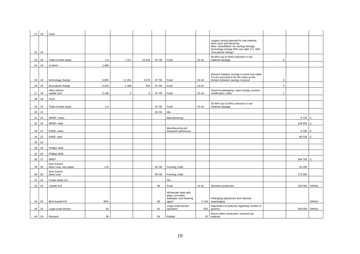| 21 | 18    | Food                                   |       |             |             |           |                                                                              |           |                                                                                                                                                                                           |                |         |              |
|----|-------|----------------------------------------|-------|-------------|-------------|-----------|------------------------------------------------------------------------------|-----------|-------------------------------------------------------------------------------------------------------------------------------------------------------------------------------------------|----------------|---------|--------------|
| 22 | 18    |                                        |       |             |             |           |                                                                              |           | Largest saving potential for raw material,<br>other input and electricity.<br>Main "possibilities" for savings through<br>technology change 60% see table 3.5. 30%<br>"procedural change" |                |         |              |
| 23 | 18    | Total of entire study                  | 1,4   | 7317        | 10 244      | 97-'00    | Food                                                                         | 15-16     | 30-40% (up to 50%) reduction in raw<br>material wastage                                                                                                                                   | 5              |         |              |
|    | 24 18 | of which                               | 1,400 |             |             |           |                                                                              |           |                                                                                                                                                                                           |                |         |              |
| 25 | 18    | technology change                      | 0,860 | 11 261      | 9679        | 97-'00    | Food                                                                         | 15-16     | Division between savings in tonne from table<br>3.5 are assumed to be the same as the<br>division between savings in pound                                                                | 5              |         |              |
| 26 | 18    | procedural change                      | 0,432 | 1 3 0 6     | 564         | $97 - 00$ | Food                                                                         | $15 - 16$ |                                                                                                                                                                                           | 3              |         |              |
| 27 | 18    | other without<br>capital cost          | 0,108 | $\mathbf 0$ | $\mathbf 0$ | $97 - 00$ | Food                                                                         | 15-16     | Good housekeeping, input change, product<br>modification, other                                                                                                                           | $\overline{2}$ |         |              |
| 28 | 19    | Food                                   |       |             |             |           |                                                                              |           |                                                                                                                                                                                           |                |         |              |
| 29 | 19    | Total of entire study                  | 1,4   |             |             | 97-'00    | Food                                                                         | 15-16     | 30-40% (up to 50%) reduction in raw<br>material wastage                                                                                                                                   |                |         |              |
| 30 | 22    |                                        |       |             |             | $03 - 05$ | Mix                                                                          |           |                                                                                                                                                                                           |                |         |              |
| 31 | 23    | WREP, mean                             |       |             |             |           | Manufacturing                                                                |           |                                                                                                                                                                                           |                | 8733    | £            |
| 32 | 23    | WREP, total                            |       |             |             |           |                                                                              |           |                                                                                                                                                                                           |                | 148 459 | £            |
| 33 | 23    | KARE, mean                             |       |             |             |           | Manufacuring and<br>transport/ warehouse                                     |           |                                                                                                                                                                                           |                | 6 1 8 0 | £            |
| 34 | 23    | KARE, total                            |       |             |             |           |                                                                              |           |                                                                                                                                                                                           |                | 86 528  | £            |
| 35 | 24    |                                        |       |             |             |           |                                                                              |           |                                                                                                                                                                                           |                |         |              |
| 36 | 25    | Phillips 2004                          |       |             |             |           |                                                                              |           |                                                                                                                                                                                           |                |         |              |
| 37 | 26    | Phillips 2006                          |       |             |             |           |                                                                              |           |                                                                                                                                                                                           |                |         |              |
| 38 | 27    | <b>NREP</b>                            |       |             |             |           |                                                                              |           |                                                                                                                                                                                           |                | 346 793 | $\mathbf{f}$ |
| 39 | 30    | East Sussex<br>betre rural, only waste | 176   |             |             | $05 - 06$ | Farming, hotel                                                               |           |                                                                                                                                                                                           |                | 32 280  |              |
| 40 | 30    | East Sussex<br>betre rural             |       |             |             | 05-'06    | Farming, hotel                                                               |           |                                                                                                                                                                                           |                | 272 000 |              |
| 41 | 31    | Cosby waste not                        |       |             |             |           | Mix                                                                          |           |                                                                                                                                                                                           |                |         |              |
| 42 | 32    | Carletti A/S                           |       |             |             | 99        | Food                                                                         | $15 - 16$ | Slimeline production                                                                                                                                                                      |                | 100 000 | DKR/yr       |
|    | 43 32 | Bent brandt A/S                        | 80%   |             |             | 99        | Wholesale trade with<br>glass, porcelain,<br>wallpaper and cleaning<br>agent | 5 1 4 4   | Packaging adjustment and reduced<br>repackaging                                                                                                                                           |                |         | DKR/yr       |
|    |       |                                        |       |             |             |           | Large-scale kitchen                                                          |           | Adjustment of portioner regarding number of                                                                                                                                               |                |         |              |
| 44 | 33    | Large-scale kitchen                    | 50    |             |             | 02        | operation                                                                    | 555       | persons<br>Reuse within production, reduced raw                                                                                                                                           |                | 500 000 | DKR/vr       |
|    | 45 34 | Roulund                                | 99    |             |             | 04        | Rubber                                                                       | 25        | material                                                                                                                                                                                  |                |         |              |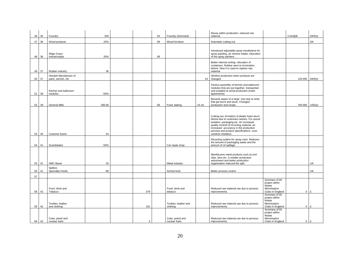| 46 | 35    | Foundry                                      | 200    |     | 04 | Foundry (Denmark)                 |           | Reuse within production, reduced raw<br>material                                                                                                                                                                                                                                           |                                                                              | 2,5milj/år     | DKR/yr         |
|----|-------|----------------------------------------------|--------|-----|----|-----------------------------------|-----------|--------------------------------------------------------------------------------------------------------------------------------------------------------------------------------------------------------------------------------------------------------------------------------------------|------------------------------------------------------------------------------|----------------|----------------|
| 47 | 36    | Wood products                                | 25%    |     | 99 | Wood furniture                    |           | Automatic cutting-out                                                                                                                                                                                                                                                                      |                                                                              |                | DK             |
| 48 | 36    | Ifölge Graco<br>Industriudstyr               | 20%    |     | 99 |                                   |           | Introduced adjustable spray mouthpiece for<br>spray painting, air mixture intake, education<br>of the spray painters.                                                                                                                                                                      |                                                                              |                |                |
| 49 | 37    | Rubber industry                              | 36     |     |    |                                   |           | Better internal sorting, relocation of<br>containers. Rubber went to inciniration<br>before. Now it is used to replace raw<br>material                                                                                                                                                     |                                                                              |                |                |
| 50 | 37    | Hempel Manufacture of<br>paint, varnish, ink |        |     |    |                                   | 24        | Slimline production when products are<br>changed                                                                                                                                                                                                                                           |                                                                              | 120 000        | DKR/yr         |
| 51 | 38    | Kitchen and bathroom<br>modules              | $-50%$ |     |    |                                   |           | Factory assembly of kitchen and bathroom<br>modules that are put together, transported<br>and installed at serial production (hotel,<br>apartments)                                                                                                                                        |                                                                              |                |                |
| 52 | 39    | <b>General Mills</b>                         | 290,56 |     | 06 | Food, baking                      | $15 - 16$ | Became aware of a large loss due to rests<br>that got burnt and stuck. Changed<br>production and recipe.                                                                                                                                                                                   |                                                                              |                | 760 000 USD/yr |
|    |       |                                              |        |     |    |                                   |           |                                                                                                                                                                                                                                                                                            |                                                                              |                |                |
| 53 | 40    | Custome foams                                | 34     |     |    |                                   |           | Cutting-out, formation of plastic foam skum<br>blocks due to customers wishes. For sound<br>isolation, packaging etc. An increased<br>quality controll of incoming material, an<br>increased accurancy in the production<br>process and product specifications. Less<br>careless mistakes. |                                                                              |                |                |
| 54 | 41    | Scandiadam                                   | $-50%$ |     |    | Car repair shop                   |           | Recycling system for spray cans. Reduces<br>the amount of packaging waste and the<br>amount of oil spillage                                                                                                                                                                                |                                                                              |                |                |
| 55 | 41    | <b>HMC Bauer</b>                             | 26     |     |    | Metal industry                    |           | Manifacures metal products such as tool<br>clips, fans etc. A smaller production<br>assortment and better production<br>organisation reduced the spill.                                                                                                                                    |                                                                              |                | UK             |
| 56 | 41    | Spillers<br><b>Speciality Feeds</b>          | 88     |     |    | Animal food                       |           | Better process control                                                                                                                                                                                                                                                                     |                                                                              |                | UK             |
| 57 |       |                                              |        |     |    |                                   |           |                                                                                                                                                                                                                                                                                            |                                                                              |                |                |
| 58 | 42    | Food, drink and<br>Tobacco                   |        | 379 |    | Food, drink and<br>tobacco        |           | Reduced raw material use due to process<br>improvements.                                                                                                                                                                                                                                   | Summary of 65<br>project within<br>Waste<br>Minimisation<br>Clubs in England | $\overline{0}$ | £              |
| 59 | 42    | Textiles, leather<br>and clothing            |        | 101 |    | Textiles, leather and<br>clothing |           | Reduced raw material use due to process<br>improvements.                                                                                                                                                                                                                                   | Summary of 65<br>project within<br>Waste<br>Minimisation<br>Clubs in England | $\mathbf 0$    | £              |
|    | 60 42 | Coke, petrol and<br>nuclear fuels            |        |     | 3  | Coke, petrol and<br>nuclear fuels |           | Reduced raw material use due to process<br>improvements.                                                                                                                                                                                                                                   | Summary of 65<br>project within<br>Waste<br>Minimisation<br>Clubs in England | $\overline{0}$ | $\mathbf{f}$   |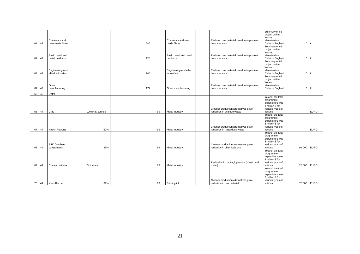| 61 | 42    | Chemicals and<br>man-made fibres     |                | 545 |    | Chemicals and man-<br>made fibres    | Reduced raw material use due to process<br>improvements.             | Summary of 65<br>project within<br>Waste<br>Minimisation<br>Clubs in England                                  | $\mathbf 0$    | £           |
|----|-------|--------------------------------------|----------------|-----|----|--------------------------------------|----------------------------------------------------------------------|---------------------------------------------------------------------------------------------------------------|----------------|-------------|
| 62 | 42    | Basic metal and<br>metal products    |                | 128 |    | Basic metal and metal<br>products    | Reduced raw material use due to process<br>improvements.             | Summary of 65<br>project within<br><b>Waste</b><br>Minimisation<br>Clubs in England                           | $\overline{0}$ | E           |
| 63 | 42    | Engineering and<br>allied industries |                | 145 |    | Engineering and allied<br>industries | Reduced raw material use due to process<br>improvements.             | Summary of 65<br>project within<br>Waste<br>Minimisation<br>Clubs in England                                  | $\Omega$       | £           |
| 64 | 42    | Other<br>manufacturing               |                | 177 |    | Other manufacturing                  | Reduced raw material use due to process<br>improvements.             | Summary of 65<br>project within<br>Waste<br>Minimisation<br>Clubs in England                                  | $\Omega$       | £           |
| 65 | 43    | Defra                                |                |     |    |                                      |                                                                      |                                                                                                               |                |             |
| 66 | 44    | Cfab                                 | 100%=37 tonnes |     | 99 | Metal industry                       | Cleaner production alternatives gave<br>reduction in cyanide waste   | Ireland, the total<br>programme<br>expenditure was<br>3 million € for<br>various types of<br>actions          |                | <b>EURO</b> |
| 67 | 44    | <b>Hitech Planting</b>               | 60%            |     | 99 | Metal industry                       | Cleaner production alternatives gave<br>reduction in hazardous waste | Ireland, the total<br>programme<br>expenditure was<br>3 million $\epsilon$ for<br>various types of<br>actions |                | <b>EURO</b> |
| 68 | 44    | SIFCO turbine<br>components          | 25%            |     | 99 | Metal industry                       | Cleaner production alternatives gave<br>reduction in chemicals use   | Ireland, the total<br>programme<br>expenditure was<br>3 million $\epsilon$ for<br>various types of<br>actions | 91 000 EURO    |             |
| 69 | 44    | Coates Lorilleux                     | 74 tonnes      |     | 99 | Metal industry                       | Reduction in packaging waste (plastic and<br>metal)                  | Ireland, the total<br>programme<br>expenditure was<br>3 million € for<br>various types of<br>actions          | 28 000 EURO    |             |
|    | 70 44 | <b>Yves Rocher</b>                   | 67%            |     | 99 | Printing ink                         | Cleaner production alternatives gave<br>reduction in raw material    | Ireland, the total<br>programme<br>expenditure was<br>3 million $\epsilon$ for<br>various types of<br>actions | 75 000 EURO    |             |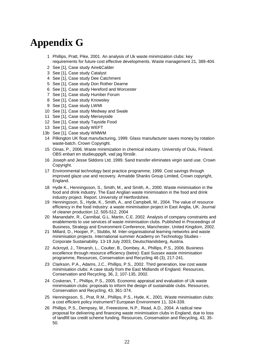## <span id="page-26-0"></span>**Appendix G**

- 1 Phillips, Pratt, Pike, 2001. An analysis of Uk waste minimization clubs: key requirements for future cost effective developments. Waste management 21, 389-404.
- 2 See [1], Case study Aire&Calder
- 3 See [1], Case study Catalyst
- 4 See [1], Case study Dee Catchment
- 5 See [1], Case study Don Rother Dearne
- 6 See [1], Case study Hereford and Worcester
- 7 See [1], Case study Humber Forum
- 8 See [1], Case study Knowsley
- 9 See [1], Case study LWMI
- 10 See [1], Case study Medway and Swale
- 11 See [1], Case study Merseyside
- 12 See [1], Case study Tayside Food
- 13 See [1], Case study WEFT
- 13b See [1], Case study WMWM
- 14 Pilkington UK float manufacturing, 1999. Glass manufacturer saves money by rotation waste-batch. Crown Copyright.
- 15 Oinas, P., 2006. Waste minimization in chemical industry. Universtiy of Oulu, Finland. OBS enbart en studieuppgift, vad jag förstår.
- 16 Joseph and Jesse Siddons Ltd. 1999. Sand transfer eliminates virgin sand use. Crown Copyright.
- 17 Environmental technology best practice programme, 1999. Cost savings through improved glaze use and recovery. Armatide Shanks Group Limited, Crown copyright, England.
- 18 Hyde K., Henningsson, S., Smith, M., and Smith, A., 2000. Waste minimisation in the food and drink industry. The East Anglian waste minimisation in the food and drink industry project. Report. University of Hertfordshire.
- 19 Henningsson, S., Hyde, K., Smith, A., and Campbell, M., 2004. The value of resource efficiency in the food industry: a waste minimisation project in East Anglia, UK. Journal of cleaner production 12, 505-512, 2004
- 20 Manandahr, R., Cannibal, G.L. Martin, C.E. 2002. Analysis of company constraints and enablements to use services of waste minimisation clubs. Published in Proceedings of Business, Strategy and Environment Conference, Manchester, United Kingdom, 2002.
- 21 Millard, D., Hooper, P., Stubbs, M. Inter-organisational learning networks and waste minimisation projects. International summer Academy on Technology Studies - Corporate Sustainability. 13-19 July 2003, Deutschlandsberg, Austria.
- 22 Ackroyd, J., Titmarsh, L., Coulter, B., Dombey, A., Phillips, P.S., 2006. Business excellence through resource efficiency (betre): East Sussex waste minimisation programme, Resources, Conservation and Recycling 46 (3), 217-241.
- 23 Clarkson, P.A., Adams, J.C., Phillips, P.S., 2002. Third generation, low cost waste minimisation clubs: A case study from the East Midlands of England. Resources, Conservation and Recycling, 36, 2, 107-135, 2002.
- 24 Coskeran, T., Phillips, P.S., 2005. Economic appraisal and evaluation of Uk waste minimisation clubs: proposals to inform the design of sustainable clubs. Resources, Conservation and Recycling, 43, 361-374.
- 25 Henningsson, S., Prat, R.M., Phillips, P.S., Hyde, K., 2001. Waste minimisation clubs: a cost efficient policy instrument? European Environment 11, 324-339.
- 26 Phillips, P.S., Dempsey, M., Freeestone, N.P., Read, A.D., 2004. A radical new proposal for delivering and financing waste minimisation clubs in England, due to loss of landfill tax credit scheme funding. Resources, Conservation and Recycling, 43, 35- 50.